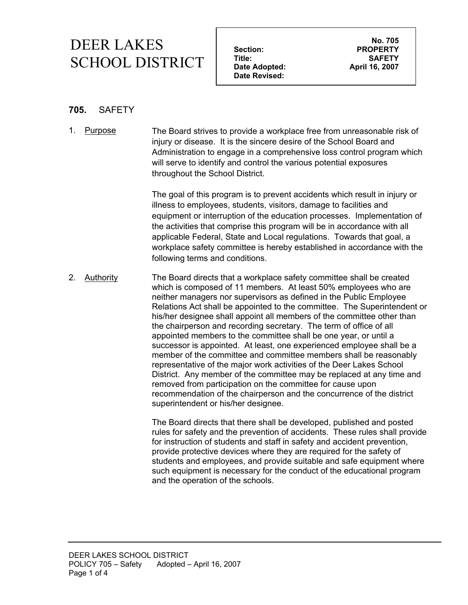**Date Revised:** 

# **705.** SAFETY

1. Purpose The Board strives to provide a workplace free from unreasonable risk of injury or disease. It is the sincere desire of the School Board and Administration to engage in a comprehensive loss control program which will serve to identify and control the various potential exposures throughout the School District.

> The goal of this program is to prevent accidents which result in injury or illness to employees, students, visitors, damage to facilities and equipment or interruption of the education processes. Implementation of the activities that comprise this program will be in accordance with all applicable Federal, State and Local regulations. Towards that goal, a workplace safety committee is hereby established in accordance with the following terms and conditions.

2. Authority The Board directs that a workplace safety committee shall be created which is composed of 11 members. At least 50% employees who are neither managers nor supervisors as defined in the Public Employee Relations Act shall be appointed to the committee. The Superintendent or his/her designee shall appoint all members of the committee other than the chairperson and recording secretary. The term of office of all appointed members to the committee shall be one year, or until a successor is appointed. At least, one experienced employee shall be a member of the committee and committee members shall be reasonably representative of the major work activities of the Deer Lakes School District. Any member of the committee may be replaced at any time and removed from participation on the committee for cause upon recommendation of the chairperson and the concurrence of the district superintendent or his/her designee.

> The Board directs that there shall be developed, published and posted rules for safety and the prevention of accidents. These rules shall provide for instruction of students and staff in safety and accident prevention, provide protective devices where they are required for the safety of students and employees, and provide suitable and safe equipment where such equipment is necessary for the conduct of the educational program and the operation of the schools.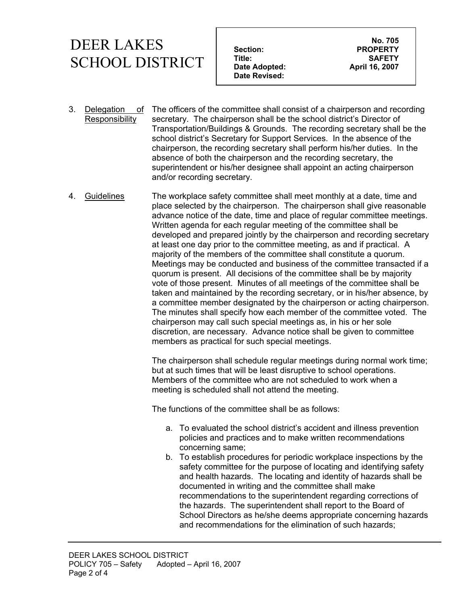**Date Revised:** 

- 3. Delegation of **Responsibility** The officers of the committee shall consist of a chairperson and recording secretary. The chairperson shall be the school district's Director of Transportation/Buildings & Grounds. The recording secretary shall be the school district's Secretary for Support Services. In the absence of the chairperson, the recording secretary shall perform his/her duties. In the absence of both the chairperson and the recording secretary, the superintendent or his/her designee shall appoint an acting chairperson and/or recording secretary.
- 4. Guidelines The workplace safety committee shall meet monthly at a date, time and place selected by the chairperson. The chairperson shall give reasonable advance notice of the date, time and place of regular committee meetings. Written agenda for each regular meeting of the committee shall be developed and prepared jointly by the chairperson and recording secretary at least one day prior to the committee meeting, as and if practical. A majority of the members of the committee shall constitute a quorum. Meetings may be conducted and business of the committee transacted if a quorum is present. All decisions of the committee shall be by majority vote of those present. Minutes of all meetings of the committee shall be taken and maintained by the recording secretary, or in his/her absence, by a committee member designated by the chairperson or acting chairperson. The minutes shall specify how each member of the committee voted. The chairperson may call such special meetings as, in his or her sole discretion, are necessary. Advance notice shall be given to committee members as practical for such special meetings.

The chairperson shall schedule regular meetings during normal work time; but at such times that will be least disruptive to school operations. Members of the committee who are not scheduled to work when a meeting is scheduled shall not attend the meeting.

The functions of the committee shall be as follows:

- a. To evaluated the school district's accident and illness prevention policies and practices and to make written recommendations concerning same;
- b. To establish procedures for periodic workplace inspections by the safety committee for the purpose of locating and identifying safety and health hazards. The locating and identity of hazards shall be documented in writing and the committee shall make recommendations to the superintendent regarding corrections of the hazards. The superintendent shall report to the Board of School Directors as he/she deems appropriate concerning hazards and recommendations for the elimination of such hazards;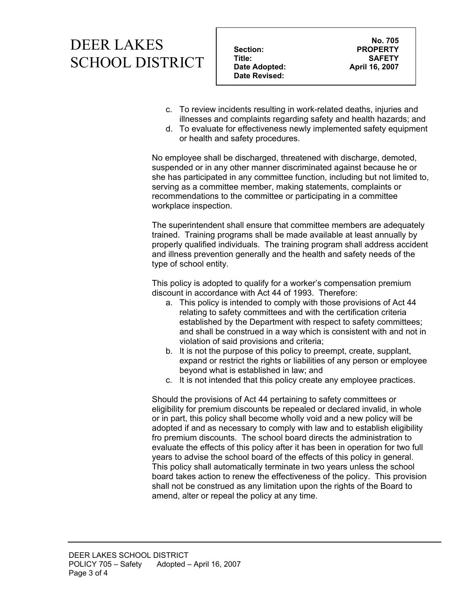**Date Revised:** 

- c. To review incidents resulting in work-related deaths, injuries and illnesses and complaints regarding safety and health hazards; and
- d. To evaluate for effectiveness newly implemented safety equipment or health and safety procedures.

No employee shall be discharged, threatened with discharge, demoted, suspended or in any other manner discriminated against because he or she has participated in any committee function, including but not limited to, serving as a committee member, making statements, complaints or recommendations to the committee or participating in a committee workplace inspection.

The superintendent shall ensure that committee members are adequately trained. Training programs shall be made available at least annually by properly qualified individuals. The training program shall address accident and illness prevention generally and the health and safety needs of the type of school entity.

This policy is adopted to qualify for a worker's compensation premium discount in accordance with Act 44 of 1993. Therefore:

- a. This policy is intended to comply with those provisions of Act 44 relating to safety committees and with the certification criteria established by the Department with respect to safety committees; and shall be construed in a way which is consistent with and not in violation of said provisions and criteria;
- b. It is not the purpose of this policy to preempt, create, supplant, expand or restrict the rights or liabilities of any person or employee beyond what is established in law; and
- c. It is not intended that this policy create any employee practices.

Should the provisions of Act 44 pertaining to safety committees or eligibility for premium discounts be repealed or declared invalid, in whole or in part, this policy shall become wholly void and a new policy will be adopted if and as necessary to comply with law and to establish eligibility fro premium discounts. The school board directs the administration to evaluate the effects of this policy after it has been in operation for two full years to advise the school board of the effects of this policy in general. This policy shall automatically terminate in two years unless the school board takes action to renew the effectiveness of the policy. This provision shall not be construed as any limitation upon the rights of the Board to amend, alter or repeal the policy at any time.